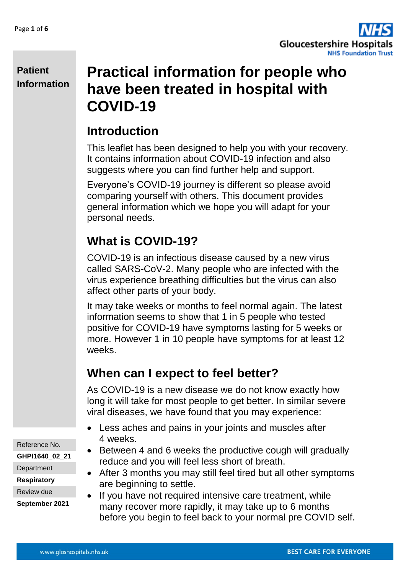

# **Practical information for people who have been treated in hospital with COVID-19**

# **Introduction**

This leaflet has been designed to help you with your recovery. It contains information about COVID-19 infection and also suggests where you can find further help and support.

Everyone's COVID-19 journey is different so please avoid comparing yourself with others. This document provides general information which we hope you will adapt for your personal needs.

# **What is COVID-19?**

COVID-19 is an infectious disease caused by a new virus called SARS-CoV-2. Many people who are infected with the virus experience breathing difficulties but the virus can also affect other parts of your body.

It may take weeks or months to feel normal again. The latest information seems to show that 1 in 5 people who tested positive for COVID-19 have symptoms lasting for 5 weeks or more. However 1 in 10 people have symptoms for at least 12 weeks.

# **When can I expect to feel better?**

As COVID-19 is a new disease we do not know exactly how long it will take for most people to get better. In similar severe viral diseases, we have found that you may experience:

- Less aches and pains in your joints and muscles after 4 weeks.
- Between 4 and 6 weeks the productive cough will gradually reduce and you will feel less short of breath.
- After 3 months you may still feel tired but all other symptoms are beginning to settle.
- If you have not required intensive care treatment, while many recover more rapidly, it may take up to 6 months before you begin to feel back to your normal pre COVID self.

Reference No.

**GHPI1640\_02\_21**

**Department** 

**Respiratory**

Review due

**September 2021**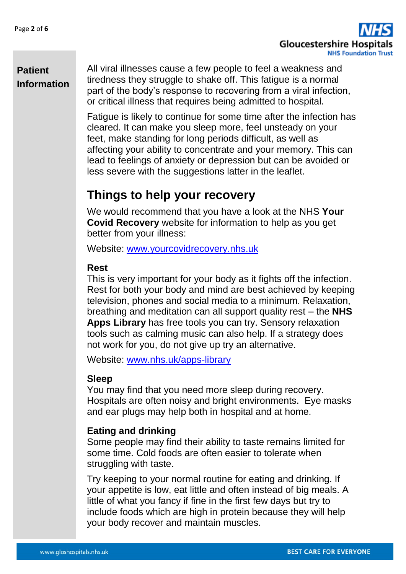

All viral illnesses cause a few people to feel a weakness and tiredness they struggle to shake off. This fatigue is a normal part of the body's response to recovering from a viral infection, or critical illness that requires being admitted to hospital.

Fatigue is likely to continue for some time after the infection has cleared. It can make you sleep more, feel unsteady on your feet, make standing for long periods difficult, as well as affecting your ability to concentrate and your memory. This can lead to feelings of anxiety or depression but can be avoided or less severe with the suggestions latter in the leaflet.

## **Things to help your recovery**

We would recommend that you have a look at the NHS **Your Covid Recovery** website for information to help as you get better from your illness:

Website: [www.yourcovidrecovery.nhs.uk](http://www.yourcovidrecovery.nhs.uk/)

### **Rest**

This is very important for your body as it fights off the infection. Rest for both your body and mind are best achieved by keeping television, phones and social media to a minimum. Relaxation, breathing and meditation can all support quality rest – the **NHS Apps Library** has free tools you can try. Sensory relaxation tools such as calming music can also help. If a strategy does not work for you, do not give up try an alternative.

Website: [www.nhs.uk/apps-library](http://www.nhs.uk/apps-library)

### **Sleep**

You may find that you need more sleep during recovery. Hospitals are often noisy and bright environments. Eye masks and ear plugs may help both in hospital and at home.

### **Eating and drinking**

Some people may find their ability to taste remains limited for some time. Cold foods are often easier to tolerate when struggling with taste.

Try keeping to your normal routine for eating and drinking. If your appetite is low, eat little and often instead of big meals. A little of what you fancy if fine in the first few days but try to include foods which are high in protein because they will help your body recover and maintain muscles.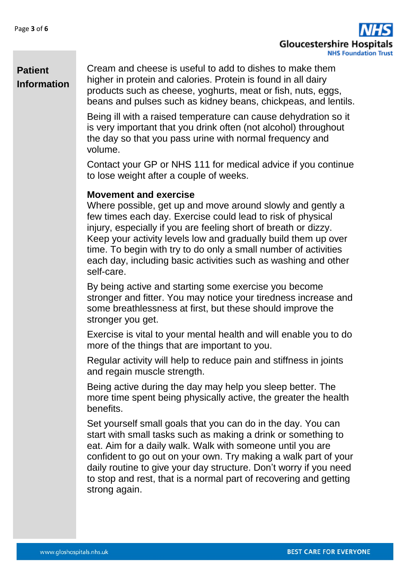

Cream and cheese is useful to add to dishes to make them higher in protein and calories. Protein is found in all dairy products such as cheese, yoghurts, meat or fish, nuts, eggs, beans and pulses such as kidney beans, chickpeas, and lentils.

Being ill with a raised temperature can cause dehydration so it is very important that you drink often (not alcohol) throughout the day so that you pass urine with normal frequency and volume.

Contact your GP or NHS 111 for medical advice if you continue to lose weight after a couple of weeks.

#### **Movement and exercise**

Where possible, get up and move around slowly and gently a few times each day. Exercise could lead to risk of physical injury, especially if you are feeling short of breath or dizzy. Keep your activity levels low and gradually build them up over time. To begin with try to do only a small number of activities each day, including basic activities such as washing and other self-care.

By being active and starting some exercise you become stronger and fitter. You may notice your tiredness increase and some breathlessness at first, but these should improve the stronger you get.

Exercise is vital to your mental health and will enable you to do more of the things that are important to you.

Regular activity will help to reduce pain and stiffness in joints and regain muscle strength.

Being active during the day may help you sleep better. The more time spent being physically active, the greater the health benefits.

Set yourself small goals that you can do in the day. You can start with small tasks such as making a drink or something to eat. Aim for a daily walk. Walk with someone until you are confident to go out on your own. Try making a walk part of your daily routine to give your day structure. Don't worry if you need to stop and rest, that is a normal part of recovering and getting strong again.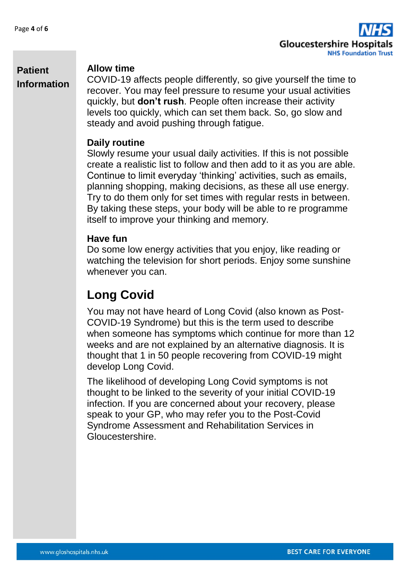

### **Allow time**

COVID-19 affects people differently, so give yourself the time to recover. You may feel pressure to resume your usual activities quickly, but **don't rush**. People often increase their activity levels too quickly, which can set them back. So, go slow and steady and avoid pushing through fatigue.

### **Daily routine**

Slowly resume your usual daily activities. If this is not possible create a realistic list to follow and then add to it as you are able. Continue to limit everyday 'thinking' activities, such as emails, planning shopping, making decisions, as these all use energy. Try to do them only for set times with regular rests in between. By taking these steps, your body will be able to re programme itself to improve your thinking and memory.

### **Have fun**

Do some low energy activities that you enjoy, like reading or watching the television for short periods. Enjoy some sunshine whenever you can.

# **Long Covid**

You may not have heard of Long Covid (also known as Post-COVID-19 Syndrome) but this is the term used to describe when someone has symptoms which continue for more than 12 weeks and are not explained by an alternative diagnosis. It is thought that 1 in 50 people recovering from COVID-19 might develop Long Covid.

The likelihood of developing Long Covid symptoms is not thought to be linked to the severity of your initial COVID-19 infection. If you are concerned about your recovery, please speak to your GP, who may refer you to the Post-Covid Syndrome Assessment and Rehabilitation Services in Gloucestershire.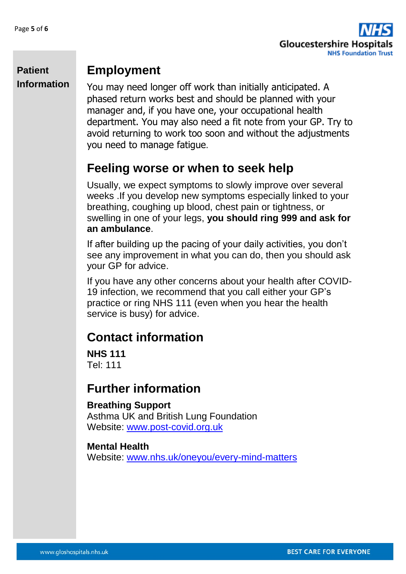

## **Employment**

You may need longer off work than initially anticipated. A phased return works best and should be planned with your manager and, if you have one, your occupational health department. You may also need a fit note from your GP. Try to avoid returning to work too soon and without the adjustments you need to manage fatigue.

## **Feeling worse or when to seek help**

Usually, we expect symptoms to slowly improve over several weeks .If you develop new symptoms especially linked to your breathing, coughing up blood, chest pain or tightness, or swelling in one of your legs, **you should ring 999 and ask for an ambulance**.

If after building up the pacing of your daily activities, you don't see any improvement in what you can do, then you should ask your GP for advice.

If you have any other concerns about your health after COVID-19 infection, we recommend that you call either your GP's practice or ring NHS 111 (even when you hear the health service is busy) for advice.

## **Contact information**

**NHS 111** Tel: 111

## **Further information**

### **Breathing Support**

Asthma UK and British Lung Foundation Website: [www.post-covid.org.uk](http://www.post-covid.org.uk/)

#### **Mental Health**

Website: [www.nhs.uk/oneyou/every-mind-matters](http://www.nhs.uk/oneyou/every-mind-matters)